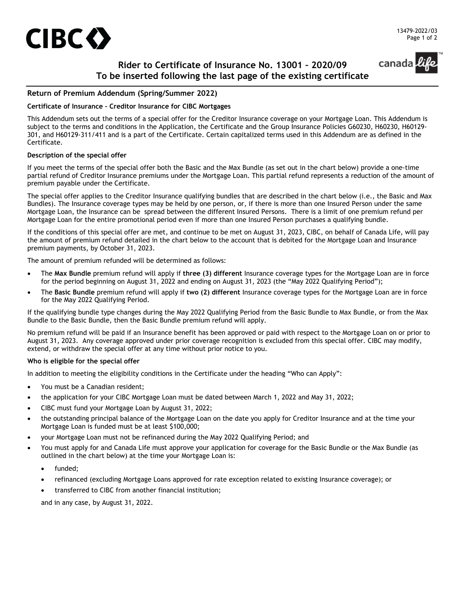

canada

# **Rider to Certificate of Insurance No. 13001 – 2020/09 To be inserted following the last page of the existing certificate**

### **Return of Premium Addendum (Spring/Summer 2022)**

#### **Certificate of Insurance – Creditor Insurance for CIBC Mortgages**

This Addendum sets out the terms of a special offer for the Creditor Insurance coverage on your Mortgage Loan. This Addendum is subject to the terms and conditions in the Application, the Certificate and the Group Insurance Policies G60230, H60230, H60129- 301, and H60129-311/411 and is a part of the Certificate. Certain capitalized terms used in this Addendum are as defined in the Certificate.

#### **Description of the special offer**

If you meet the terms of the special offer both the Basic and the Max Bundle (as set out in the chart below) provide a one-time partial refund of Creditor Insurance premiums under the Mortgage Loan. This partial refund represents a reduction of the amount of premium payable under the Certificate.

The special offer applies to the Creditor Insurance qualifying bundles that are described in the chart below (i.e., the Basic and Max Bundles). The Insurance coverage types may be held by one person, or, if there is more than one Insured Person under the same Mortgage Loan, the Insurance can be spread between the different Insured Persons. There is a limit of one premium refund per Mortgage Loan for the entire promotional period even if more than one Insured Person purchases a qualifying bundle.

If the conditions of this special offer are met, and continue to be met on August 31, 2023, CIBC, on behalf of Canada Life, will pay the amount of premium refund detailed in the chart below to the account that is debited for the Mortgage Loan and Insurance premium payments, by October 31, 2023.

The amount of premium refunded will be determined as follows:

- The **Max Bundle** premium refund will apply if **three (3) different** Insurance coverage types for the Mortgage Loan are in force for the period beginning on August 31, 2022 and ending on August 31, 2023 (the "May 2022 Qualifying Period");
- The **Basic Bundle** premium refund will apply if **two (2) different** Insurance coverage types for the Mortgage Loan are in force for the May 2022 Qualifying Period.

If the qualifying bundle type changes during the May 2022 Qualifying Period from the Basic Bundle to Max Bundle, or from the Max Bundle to the Basic Bundle, then the Basic Bundle premium refund will apply.

No premium refund will be paid if an Insurance benefit has been approved or paid with respect to the Mortgage Loan on or prior to August 31, 2023. Any coverage approved under prior coverage recognition is excluded from this special offer. CIBC may modify, extend, or withdraw the special offer at any time without prior notice to you.

#### **Who is eligible for the special offer**

In addition to meeting the eligibility conditions in the Certificate under the heading "Who can Apply":

- You must be a Canadian resident;
- the application for your CIBC Mortgage Loan must be dated between March 1, 2022 and May 31, 2022;
- CIBC must fund your Mortgage Loan by August 31, 2022;
- the outstanding principal balance of the Mortgage Loan on the date you apply for Creditor Insurance and at the time your Mortgage Loan is funded must be at least \$100,000;
- your Mortgage Loan must not be refinanced during the May 2022 Qualifying Period; and
- You must apply for and Canada Life must approve your application for coverage for the Basic Bundle or the Max Bundle (as outlined in the chart below) at the time your Mortgage Loan is:
	- funded:
	- refinanced (excluding Mortgage Loans approved for rate exception related to existing Insurance coverage); or
	- transferred to CIBC from another financial institution;

and in any case, by August 31, 2022.